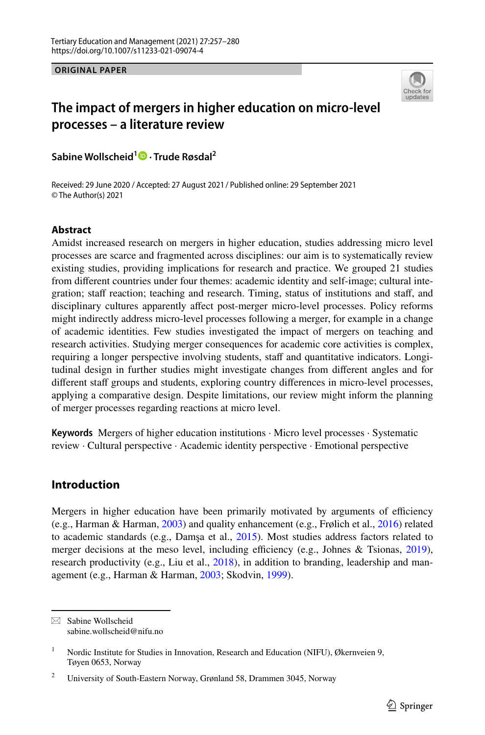**ORIGINAL PAPER**



# **The impact of mergers in higher education on micro‑level processes – a literature review**

**Sabine Wollscheid[1](http://orcid.org/0000-0001-7376-9820) · Trude Røsdal2**

© The Author(s) 2021 Received: 29 June 2020 / Accepted: 27 August 2021/ Published online: 29 September 2021

## **Abstract**

Amidst increased research on mergers in higher education, studies addressing micro level processes are scarce and fragmented across disciplines: our aim is to systematically review existing studies, providing implications for research and practice. We grouped 21 studies from diferent countries under four themes: academic identity and self-image; cultural integration; staff reaction; teaching and research. Timing, status of institutions and staff, and disciplinary cultures apparently afect post-merger micro-level processes. Policy reforms might indirectly address micro-level processes following a merger, for example in a change of academic identities. Few studies investigated the impact of mergers on teaching and research activities. Studying merger consequences for academic core activities is complex, requiring a longer perspective involving students, staff and quantitative indicators. Longitudinal design in further studies might investigate changes from diferent angles and for different staff groups and students, exploring country differences in micro-level processes, applying a comparative design. Despite limitations, our review might inform the planning of merger processes regarding reactions at micro level.

**Keywords** Mergers of higher education institutions · Micro level processes · Systematic review · Cultural perspective · Academic identity perspective · Emotional perspective

# **Introduction**

Mergers in higher education have been primarily motivated by arguments of efficiency (e.g., Harman & Harman, [2003\)](#page-21-0) and quality enhancement (e.g., Frølich et al., [2016](#page-21-1)) related to academic standards (e.g., Damşa et al., [2015](#page-21-2)). Most studies address factors related to merger decisions at the meso level, including efficiency (e.g., Johnes & Tsionas,  $2019$ ), research productivity (e.g., Liu et al., [2018](#page-22-0)), in addition to branding, leadership and management (e.g., Harman & Harman, [2003](#page-21-0); Skodvin, [1999\)](#page-22-1).

 $\boxtimes$  Sabine Wollscheid sabine.wollscheid@nifu.no

<sup>&</sup>lt;sup>1</sup> Nordic Institute for Studies in Innovation, Research and Education (NIFU), Økernveien 9, Tøyen 0653, Norway

<sup>&</sup>lt;sup>2</sup> University of South-Eastern Norway, Grønland 58, Drammen 3045, Norway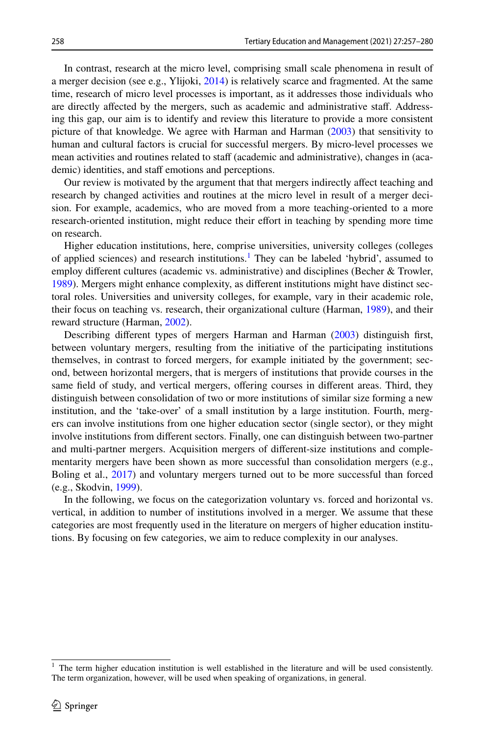In contrast, research at the micro level, comprising small scale phenomena in result of a merger decision (see e.g., Ylijoki,  $2014$ ) is relatively scarce and fragmented. At the same time, research of micro level processes is important, as it addresses those individuals who are directly afected by the mergers, such as academic and administrative staf. Addressing this gap, our aim is to identify and review this literature to provide a more consistent picture of that knowledge. We agree with Harman and Harman ([2003\)](#page-21-0) that sensitivity to human and cultural factors is crucial for successful mergers. By micro-level processes we mean activities and routines related to staff (academic and administrative), changes in (academic) identities, and staff emotions and perceptions.

Our review is motivated by the argument that that mergers indirectly afect teaching and research by changed activities and routines at the micro level in result of a merger decision. For example, academics, who are moved from a more teaching-oriented to a more research-oriented institution, might reduce their efort in teaching by spending more time on research.

Higher education institutions, here, comprise universities, university colleges (colleges of applied sciences) and research institutions.<sup>[1](#page-1-0)</sup> They can be labeled 'hybrid', assumed to employ diferent cultures (academic vs. administrative) and disciplines (Becher & Trowler, [1989\)](#page-21-4). Mergers might enhance complexity, as diferent institutions might have distinct sectoral roles. Universities and university colleges, for example, vary in their academic role, their focus on teaching vs. research, their organizational culture (Harman, [1989\)](#page-21-5), and their reward structure (Harman, [2002](#page-21-6)).

Describing diferent types of mergers Harman and Harman [\(2003](#page-21-0)) distinguish frst, between voluntary mergers, resulting from the initiative of the participating institutions themselves, in contrast to forced mergers, for example initiated by the government; second, between horizontal mergers, that is mergers of institutions that provide courses in the same feld of study, and vertical mergers, ofering courses in diferent areas. Third, they distinguish between consolidation of two or more institutions of similar size forming a new institution, and the 'take-over' of a small institution by a large institution. Fourth, mergers can involve institutions from one higher education sector (single sector), or they might involve institutions from diferent sectors. Finally, one can distinguish between two-partner and multi-partner mergers. Acquisition mergers of diferent-size institutions and complementarity mergers have been shown as more successful than consolidation mergers (e.g., Boling et al., [2017](#page-21-7)) and voluntary mergers turned out to be more successful than forced (e.g., Skodvin, [1999\)](#page-22-1).

In the following, we focus on the categorization voluntary vs. forced and horizontal vs. vertical, in addition to number of institutions involved in a merger. We assume that these categories are most frequently used in the literature on mergers of higher education institutions. By focusing on few categories, we aim to reduce complexity in our analyses.

<span id="page-1-0"></span><sup>&</sup>lt;sup>1</sup> The term higher education institution is well established in the literature and will be used consistently. The term organization, however, will be used when speaking of organizations, in general.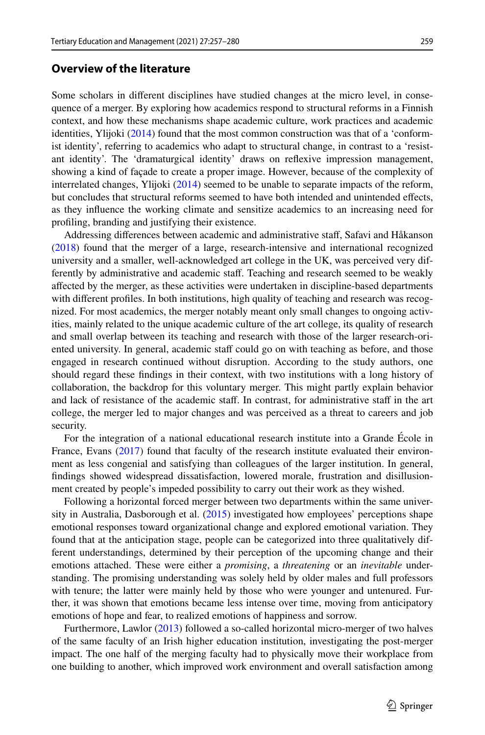# **Overview of the literature**

Some scholars in diferent disciplines have studied changes at the micro level, in consequence of a merger. By exploring how academics respond to structural reforms in a Finnish context, and how these mechanisms shape academic culture, work practices and academic identities, Ylijoki [\(2014](#page-23-0)) found that the most common construction was that of a 'conformist identity', referring to academics who adapt to structural change, in contrast to a 'resistant identity'. The 'dramaturgical identity' draws on refexive impression management, showing a kind of façade to create a proper image. However, because of the complexity of interrelated changes, Ylijoki [\(2014](#page-23-0)) seemed to be unable to separate impacts of the reform, but concludes that structural reforms seemed to have both intended and unintended efects, as they infuence the working climate and sensitize academics to an increasing need for profling, branding and justifying their existence.

Addressing diferences between academic and administrative staf, Safavi and Håkanson ([2018\)](#page-22-2) found that the merger of a large, research-intensive and international recognized university and a smaller, well-acknowledged art college in the UK, was perceived very differently by administrative and academic staff. Teaching and research seemed to be weakly afected by the merger, as these activities were undertaken in discipline-based departments with diferent profles. In both institutions, high quality of teaching and research was recognized. For most academics, the merger notably meant only small changes to ongoing activities, mainly related to the unique academic culture of the art college, its quality of research and small overlap between its teaching and research with those of the larger research-oriented university. In general, academic staff could go on with teaching as before, and those engaged in research continued without disruption. According to the study authors, one should regard these fndings in their context, with two institutions with a long history of collaboration, the backdrop for this voluntary merger. This might partly explain behavior and lack of resistance of the academic staff. In contrast, for administrative staff in the art college, the merger led to major changes and was perceived as a threat to careers and job security.

For the integration of a national educational research institute into a Grande École in France, Evans ([2017\)](#page-21-8) found that faculty of the research institute evaluated their environment as less congenial and satisfying than colleagues of the larger institution. In general, fndings showed widespread dissatisfaction, lowered morale, frustration and disillusionment created by people's impeded possibility to carry out their work as they wished.

Following a horizontal forced merger between two departments within the same university in Australia, Dasborough et al. ([2015\)](#page-21-9) investigated how employees' perceptions shape emotional responses toward organizational change and explored emotional variation. They found that at the anticipation stage, people can be categorized into three qualitatively different understandings, determined by their perception of the upcoming change and their emotions attached. These were either a *promising*, a *threatening* or an *inevitable* understanding. The promising understanding was solely held by older males and full professors with tenure; the latter were mainly held by those who were younger and untenured. Further, it was shown that emotions became less intense over time, moving from anticipatory emotions of hope and fear, to realized emotions of happiness and sorrow.

Furthermore, Lawlor [\(2013](#page-22-3)) followed a so-called horizontal micro-merger of two halves of the same faculty of an Irish higher education institution, investigating the post-merger impact. The one half of the merging faculty had to physically move their workplace from one building to another, which improved work environment and overall satisfaction among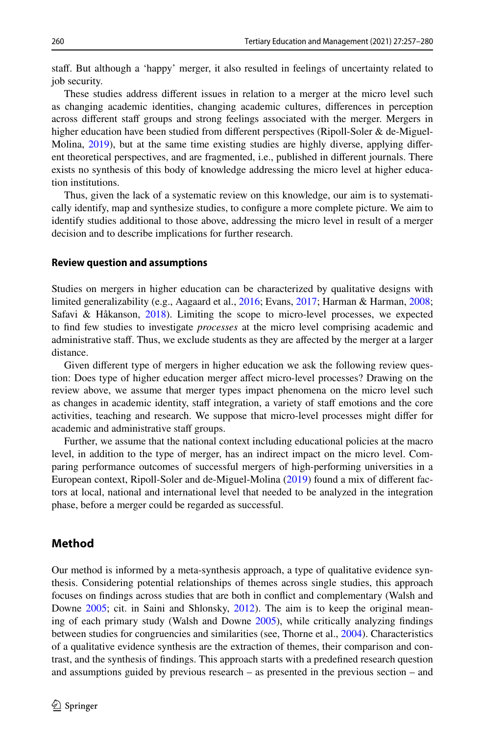staf. But although a 'happy' merger, it also resulted in feelings of uncertainty related to job security.

These studies address diferent issues in relation to a merger at the micro level such as changing academic identities, changing academic cultures, diferences in perception across different staff groups and strong feelings associated with the merger. Mergers in higher education have been studied from diferent perspectives (Ripoll-Soler & de-Miguel-Molina, [2019](#page-22-4)), but at the same time existing studies are highly diverse, applying diferent theoretical perspectives, and are fragmented, i.e., published in diferent journals. There exists no synthesis of this body of knowledge addressing the micro level at higher education institutions.

Thus, given the lack of a systematic review on this knowledge, our aim is to systematically identify, map and synthesize studies, to confgure a more complete picture. We aim to identify studies additional to those above, addressing the micro level in result of a merger decision and to describe implications for further research.

#### **Review question and assumptions**

Studies on mergers in higher education can be characterized by qualitative designs with limited generalizability (e.g., Aagaard et al., [2016;](#page-21-10) Evans, [2017](#page-21-8); Harman & Harman, [2008;](#page-21-11) Safavi & Håkanson, [2018\)](#page-22-2). Limiting the scope to micro-level processes, we expected to fnd few studies to investigate *processes* at the micro level comprising academic and administrative staff. Thus, we exclude students as they are affected by the merger at a larger distance.

Given diferent type of mergers in higher education we ask the following review question: Does type of higher education merger afect micro-level processes? Drawing on the review above, we assume that merger types impact phenomena on the micro level such as changes in academic identity, staff integration, a variety of staff emotions and the core activities, teaching and research. We suppose that micro-level processes might difer for academic and administrative staff groups.

Further, we assume that the national context including educational policies at the macro level, in addition to the type of merger, has an indirect impact on the micro level. Comparing performance outcomes of successful mergers of high-performing universities in a European context, Ripoll-Soler and de-Miguel-Molina ([2019\)](#page-22-4) found a mix of diferent factors at local, national and international level that needed to be analyzed in the integration phase, before a merger could be regarded as successful.

### **Method**

Our method is informed by a meta-synthesis approach, a type of qualitative evidence synthesis. Considering potential relationships of themes across single studies, this approach focuses on fndings across studies that are both in confict and complementary (Walsh and Downe [2005;](#page-22-5) cit. in Saini and Shlonsky, [2012\)](#page-22-6). The aim is to keep the original meaning of each primary study (Walsh and Downe [2005\)](#page-22-5), while critically analyzing fndings between studies for congruencies and similarities (see, Thorne et al., [2004](#page-22-7)). Characteristics of a qualitative evidence synthesis are the extraction of themes, their comparison and contrast, and the synthesis of fndings. This approach starts with a predefned research question and assumptions guided by previous research – as presented in the previous section – and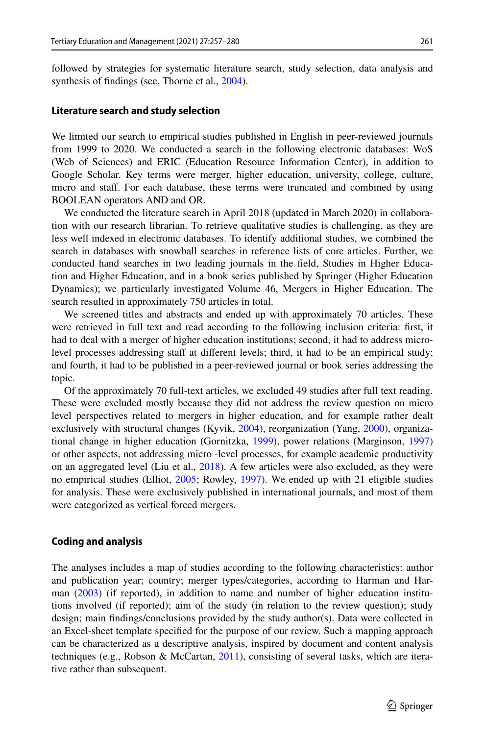followed by strategies for systematic literature search, study selection, data analysis and synthesis of findings (see, Thorne et al., [2004\)](#page-22-7).

### **Literature search and study selection**

We limited our search to empirical studies published in English in peer-reviewed journals from 1999 to 2020. We conducted a search in the following electronic databases: WoS (Web of Sciences) and ERIC (Education Resource Information Center), in addition to Google Scholar. Key terms were merger, higher education, university, college, culture, micro and staf. For each database, these terms were truncated and combined by using BOOLEAN operators AND and OR.

We conducted the literature search in April 2018 (updated in March 2020) in collaboration with our research librarian. To retrieve qualitative studies is challenging, as they are less well indexed in electronic databases. To identify additional studies, we combined the search in databases with snowball searches in reference lists of core articles. Further, we conducted hand searches in two leading journals in the feld, Studies in Higher Education and Higher Education, and in a book series published by Springer (Higher Education Dynamics); we particularly investigated Volume 46, Mergers in Higher Education. The search resulted in approximately 750 articles in total.

We screened titles and abstracts and ended up with approximately 70 articles. These were retrieved in full text and read according to the following inclusion criteria: frst, it had to deal with a merger of higher education institutions; second, it had to address microlevel processes addressing staff at different levels; third, it had to be an empirical study; and fourth, it had to be published in a peer-reviewed journal or book series addressing the topic.

Of the approximately 70 full-text articles, we excluded 49 studies after full text reading. These were excluded mostly because they did not address the review question on micro level perspectives related to mergers in higher education, and for example rather dealt exclusively with structural changes (Kyvik, [2004](#page-22-8)), reorganization (Yang, [2000](#page-23-1)), organizational change in higher education (Gornitzka, [1999\)](#page-21-12), power relations (Marginson, [1997](#page-22-9)) or other aspects, not addressing micro -level processes, for example academic productivity on an aggregated level (Liu et al., [2018\)](#page-22-0). A few articles were also excluded, as they were no empirical studies (Elliot, [2005;](#page-21-13) Rowley, [1997\)](#page-22-10). We ended up with 21 eligible studies for analysis. These were exclusively published in international journals, and most of them were categorized as vertical forced mergers.

### **Coding and analysis**

The analyses includes a map of studies according to the following characteristics: author and publication year; country; merger types/categories, according to Harman and Harman [\(2003](#page-21-0)) (if reported), in addition to name and number of higher education institutions involved (if reported); aim of the study (in relation to the review question); study design; main fndings/conclusions provided by the study author(s). Data were collected in an Excel-sheet template specifed for the purpose of our review. Such a mapping approach can be characterized as a descriptive analysis, inspired by document and content analysis techniques (e.g., Robson & McCartan, [2011](#page-22-11)), consisting of several tasks, which are iterative rather than subsequent.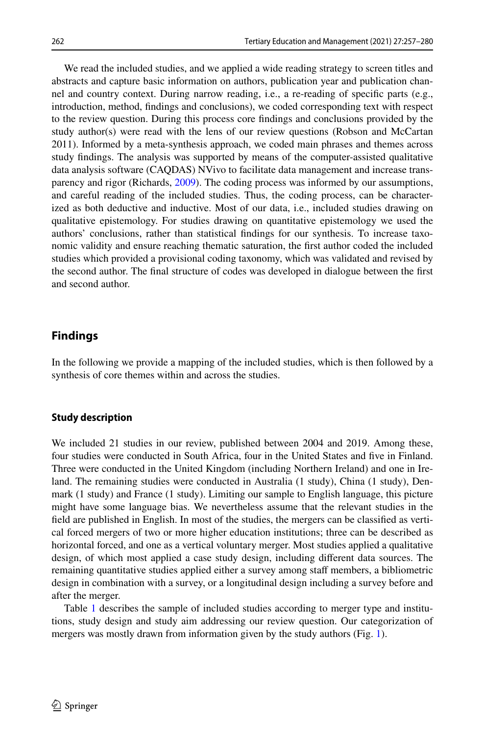We read the included studies, and we applied a wide reading strategy to screen titles and abstracts and capture basic information on authors, publication year and publication channel and country context. During narrow reading, i.e., a re-reading of specifc parts (e.g., introduction, method, fndings and conclusions), we coded corresponding text with respect to the review question. During this process core fndings and conclusions provided by the study author(s) were read with the lens of our review questions (Robson and McCartan 2011). Informed by a meta-synthesis approach, we coded main phrases and themes across study fndings. The analysis was supported by means of the computer-assisted qualitative data analysis software (CAQDAS) NVivo to facilitate data management and increase transparency and rigor (Richards, [2009](#page-22-12)). The coding process was informed by our assumptions, and careful reading of the included studies. Thus, the coding process, can be characterized as both deductive and inductive. Most of our data, i.e., included studies drawing on qualitative epistemology. For studies drawing on quantitative epistemology we used the authors' conclusions, rather than statistical fndings for our synthesis. To increase taxonomic validity and ensure reaching thematic saturation, the frst author coded the included studies which provided a provisional coding taxonomy, which was validated and revised by the second author. The fnal structure of codes was developed in dialogue between the frst and second author.

# **Findings**

In the following we provide a mapping of the included studies, which is then followed by a synthesis of core themes within and across the studies.

### **Study description**

We included 21 studies in our review, published between 2004 and 2019. Among these, four studies were conducted in South Africa, four in the United States and fve in Finland. Three were conducted in the United Kingdom (including Northern Ireland) and one in Ireland. The remaining studies were conducted in Australia (1 study), China (1 study), Denmark (1 study) and France (1 study). Limiting our sample to English language, this picture might have some language bias. We nevertheless assume that the relevant studies in the feld are published in English. In most of the studies, the mergers can be classifed as vertical forced mergers of two or more higher education institutions; three can be described as horizontal forced, and one as a vertical voluntary merger. Most studies applied a qualitative design, of which most applied a case study design, including diferent data sources. The remaining quantitative studies applied either a survey among staff members, a bibliometric design in combination with a survey, or a longitudinal design including a survey before and after the merger.

Table [1](#page-6-0) describes the sample of included studies according to merger type and institutions, study design and study aim addressing our review question. Our categorization of mergers was mostly drawn from information given by the study authors (Fig. [1\)](#page-12-0).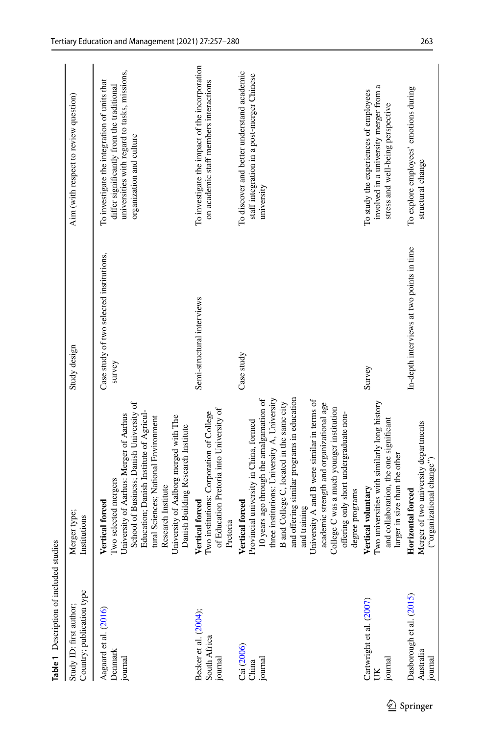<span id="page-6-0"></span>

| Table 1 Description of included studies              |                                                                                                                                                                                                                                                                                                                                                                                                                                                                             |                                                    |                                                                                                                                                                       |
|------------------------------------------------------|-----------------------------------------------------------------------------------------------------------------------------------------------------------------------------------------------------------------------------------------------------------------------------------------------------------------------------------------------------------------------------------------------------------------------------------------------------------------------------|----------------------------------------------------|-----------------------------------------------------------------------------------------------------------------------------------------------------------------------|
| Country; publication type<br>Study ID: first author; | Merger type;<br>Institutions                                                                                                                                                                                                                                                                                                                                                                                                                                                | Study design                                       | Aim (with respect to review question)                                                                                                                                 |
| Aagaard et al. (2016)<br>Denmark<br>journal          | School of Business; Danish University of<br>Education; Danish Institute of Agricul-<br>University of Aarhus: Merger of Aarhus<br>University of Aalborg merged with The<br>tural Sciences; National Environment<br>Danish Building Research Institute<br>Two selected mergers<br>Research Institute<br>Vertical forced                                                                                                                                                       | Case study of two selected institutions,<br>survey | universities with regard to tasks, missions,<br>To investigate the integration of units that<br>differ significantly from the traditional<br>organization and culture |
| Becker et al. (2004);<br>South Africa<br>journal     | of Education Pretoria into University of<br>Two institutions: Corporation of College<br>Vertical forced<br>Pretoria                                                                                                                                                                                                                                                                                                                                                         | Semi-structural interviews                         | To investigate the impact of the incorporation<br>on academic staff members interactions                                                                              |
| Cai (2006)<br>journal<br>China                       | and offering similar programs in education<br>three institutions: University A, University<br>10 years ago through the amalgamation of<br>University A and B were similar in terms of<br>B and College C, located in the same city<br>academic strength and organizational age<br>College C was a much younger institution<br>offering only short undergraduate non-<br>Provincial university in China, formed<br>degree programs<br><b>Vertical forced</b><br>and training | Case study                                         | To discover and better understand academic<br>staff integration in a post-merger Chinese<br>university                                                                |
| Cartwright et al. (2007)<br>journal<br>UK            | Two universities with similarly long history<br>and collaboration, the one significant<br>larger in size than the other<br>Vertical voluntary                                                                                                                                                                                                                                                                                                                               | Survey                                             | involved in a university merger from a<br>To study the experiences of employees<br>stress and well-being perspective                                                  |
| Dasborough et al. (2015)<br>Australia<br>journal     | Merger of two university departments<br>("organizational change")<br>Horizontal forced                                                                                                                                                                                                                                                                                                                                                                                      | In-depth interviews at two points in time          | To explore employees' emotions during<br>structural change                                                                                                            |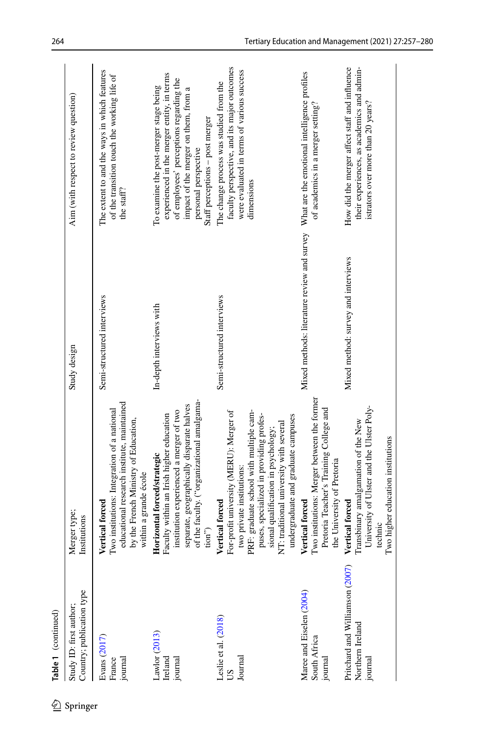|          | Table 1 (continued)                                            |                                                                                                                                                                                                                                                                                                        |                                             |                                                                                                                                                                                                                                    |
|----------|----------------------------------------------------------------|--------------------------------------------------------------------------------------------------------------------------------------------------------------------------------------------------------------------------------------------------------------------------------------------------------|---------------------------------------------|------------------------------------------------------------------------------------------------------------------------------------------------------------------------------------------------------------------------------------|
| Springer | Country; publication type<br>Study ID: first author;           | Merger type;<br>Institutions                                                                                                                                                                                                                                                                           | Study design                                | Aim (with respect to review question)                                                                                                                                                                                              |
|          | Evans (2017)<br>France<br>journal                              | educational research institute, maintained<br>Two institutions: Integration of a national<br>by the French Ministry of Education,<br>within a grande école<br>Vertical forced                                                                                                                          | Semi-structured interviews                  | The extent to and the ways in which features<br>of the transition touch the working life of<br>the staff?                                                                                                                          |
|          | Lawlor (2013)<br>Ireland<br>journal                            | of the faculty. ("organizational amalgama-<br>separate, geographically disparate halves<br>institution experienced a merger of two<br>Faculty within an Irish higher education<br>Horizontal forced/strategic<br>$\text{tion}^{\prime\prime}$                                                          | In-depth interviews with                    | experienced in the merger entity, in terms<br>of employees' perceptions regarding the<br>To examine the post-merger stage being<br>impact of the merger on them, from a<br>Staff perceptions - post merger<br>personal perspective |
|          | Leslie et al. (2018)<br>Journal<br><b>SQ</b>                   | For-profit university (MERU): Merger of<br>PRF: graduate school with multiple cam-<br>undergraduate and graduate campuses<br>puses, specialized in providing profes-<br>NT: traditional university with several<br>sional qualification in psychology;<br>two private institutions:<br>Vertical forced | Semi-structured interviews                  | faculty perspective, and its major outcomes<br>were evaluated in terms of various success<br>The change process was studied from the<br>dimensions                                                                                 |
|          | Maree and Eiselen (2004)<br>South Africa<br>journal            | Two institutions: Merger between the former<br>Pretoria Teacher's Training College and<br>the University of Pretoria<br><b>Vertical forced</b>                                                                                                                                                         | Mixed methods: literature review and survey | What are the emotional intelligence profiles<br>of academics in a merger setting?                                                                                                                                                  |
|          | Pritchard and Williamson (2007)<br>Northern Ireland<br>journal | University of Ulster and the Ulster Poly-<br>Transbinary amalgamation of the New<br>Two higher education institutions<br>Vertical forced<br>technic                                                                                                                                                    | Mixed method: survey and interviews         | How did the merger affect staff and influence<br>their experiences, as academics and admin-<br>istrators over more than 20 years?                                                                                                  |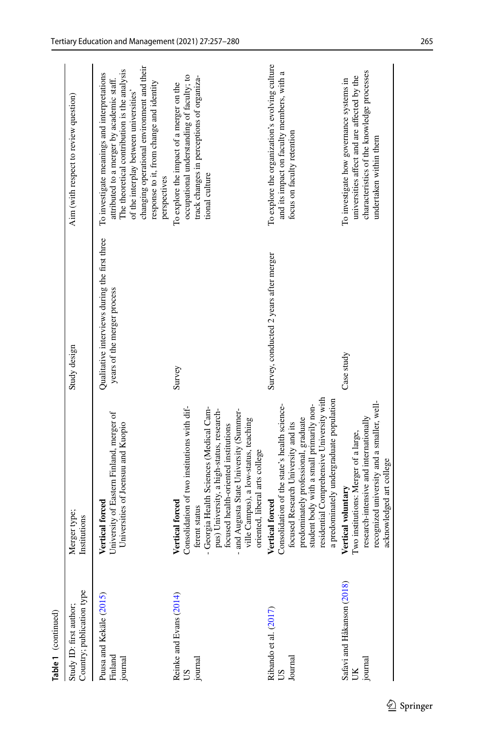| Survey, conducted 2 years after merger<br>years of the merger process<br>Study design<br>Case study<br>Survey<br>residential Comprehensive University with<br>a predominately undergraduate population<br>Consolidation of the state's health science-<br>student body with a small primarily non-<br>Consolidation of two institutions with dif-<br>- Georgia Health Sciences (Medical Cam-<br>pus) University, a high-status, research-<br>and Augusta State University (Summer-<br>University of Eastern Finland, merger of<br>predominately professional, graduate<br>ville Campus), a low-status, teaching<br>Universities of Joensuu and Kuopio<br>focused Research University and its<br>focused health-oriented institutions<br>oriented, liberal arts college<br>Vertical voluntary<br>Vertical forced<br>Vertical forced<br>Vertical forced<br>ferent status<br>Merger type;<br>Institutions<br>Safavi and Håkanson (2018)<br>Country; publication type<br>Reinke and Evans (2014)<br>Puusa and Kekäle (2015)<br>Study ID: first author;<br>Ribando et al. $(2017)$<br>US<br>Finland<br>Journal<br>journal<br>journal<br>SU | Table 1 (continued) |                                      |                                               |                                                                                                                                                                                                                                                                                             |
|---------------------------------------------------------------------------------------------------------------------------------------------------------------------------------------------------------------------------------------------------------------------------------------------------------------------------------------------------------------------------------------------------------------------------------------------------------------------------------------------------------------------------------------------------------------------------------------------------------------------------------------------------------------------------------------------------------------------------------------------------------------------------------------------------------------------------------------------------------------------------------------------------------------------------------------------------------------------------------------------------------------------------------------------------------------------------------------------------------------------------------------|---------------------|--------------------------------------|-----------------------------------------------|---------------------------------------------------------------------------------------------------------------------------------------------------------------------------------------------------------------------------------------------------------------------------------------------|
|                                                                                                                                                                                                                                                                                                                                                                                                                                                                                                                                                                                                                                                                                                                                                                                                                                                                                                                                                                                                                                                                                                                                       |                     |                                      |                                               | Aim (with respect to review question)                                                                                                                                                                                                                                                       |
|                                                                                                                                                                                                                                                                                                                                                                                                                                                                                                                                                                                                                                                                                                                                                                                                                                                                                                                                                                                                                                                                                                                                       |                     |                                      | Qualitative interviews during the first three | changing operational environment and their<br>The theoretical contribution is the analysis<br>To investigate meanings and interpretations<br>attributed to a merger by academic staff.<br>response to it, from change and identity<br>of the interplay between universities<br>perspectives |
|                                                                                                                                                                                                                                                                                                                                                                                                                                                                                                                                                                                                                                                                                                                                                                                                                                                                                                                                                                                                                                                                                                                                       |                     |                                      |                                               | occupational understanding of faculty; to<br>track changes in perceptions of organiza-<br>To explore the impact of a merger on the<br>tional culture                                                                                                                                        |
|                                                                                                                                                                                                                                                                                                                                                                                                                                                                                                                                                                                                                                                                                                                                                                                                                                                                                                                                                                                                                                                                                                                                       |                     |                                      |                                               | To explore the organization's evolving culture<br>and its impact on faculty members, with a<br>focus on faculty retention                                                                                                                                                                   |
| recognized university and a smaller, well-<br>research-intensive and internationally<br>acknowledged art college<br>journal<br>ŰЮ                                                                                                                                                                                                                                                                                                                                                                                                                                                                                                                                                                                                                                                                                                                                                                                                                                                                                                                                                                                                     |                     | Two institutions: Merger of a large, |                                               | characteristics of the knowledge processes<br>universities affect and are affected by the<br>To investigate how governance systems in<br>undertaken within them                                                                                                                             |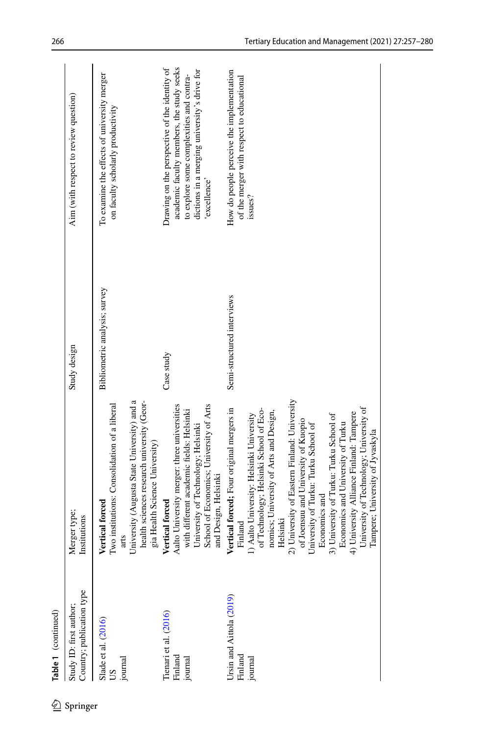|                     | Aim (with respect to review question)                | To examine the effects of university merger<br>on faculty scholarly productivity                                                                                                                       | academic faculty members, the study seeks<br>Drawing on the perspective of the identity of<br>dictions in a merging university's drive for<br>to explore some complexities and contra-<br>excellence'               | How do people perceive the implementation<br>of the merger with respect to educational<br>issues?                                                                                                                                                                                                                                                                                                                                                                                                                                                          |
|---------------------|------------------------------------------------------|--------------------------------------------------------------------------------------------------------------------------------------------------------------------------------------------------------|---------------------------------------------------------------------------------------------------------------------------------------------------------------------------------------------------------------------|------------------------------------------------------------------------------------------------------------------------------------------------------------------------------------------------------------------------------------------------------------------------------------------------------------------------------------------------------------------------------------------------------------------------------------------------------------------------------------------------------------------------------------------------------------|
|                     |                                                      |                                                                                                                                                                                                        |                                                                                                                                                                                                                     |                                                                                                                                                                                                                                                                                                                                                                                                                                                                                                                                                            |
|                     | Study design                                         | Bibliometric analysis; survey                                                                                                                                                                          | Case study                                                                                                                                                                                                          | Semi-structured interviews                                                                                                                                                                                                                                                                                                                                                                                                                                                                                                                                 |
|                     | Merger type;<br>Institutions                         | University (Augusta State University) and a<br>health sciences research university (Geor-<br>Two institutions: Consolidation of a liberal<br>gia Health Science University)<br>Vertical forced<br>arts | Aalto University merger: three universities<br>School of Economics; University of Arts<br>with different academic fields: Helsinki<br>University of Technology; Helsinki<br>and Design, Helsinki<br>Vertical forced | 2) University of Eastern Finland: University<br>Vertical forced; Four original mergers in<br>University of Technology; University of<br>of Technology; Helsinki School of Eco-<br>nomics; University of Arts and Design,<br>4) University Alliance Finland: Tampere<br>3) University of Turku: Turku School of<br>1) Aalto University: Helsinki University<br>of Joensuu and University of Kuopio<br>Economics and University of Turku<br>University of Turku: Turku School of<br>Tampere; University of Jyvaskyla<br>Economics and<br>Helsinki<br>Finland |
| Table 1 (continued) | Country; publication type<br>Study ID: first author; | Slade et al. (2016)<br>journal<br>SU                                                                                                                                                                   | Tienari et al. (2016)<br>Finland<br>journal                                                                                                                                                                         | Ursin and Aittola (2019)<br>Finland<br>journal                                                                                                                                                                                                                                                                                                                                                                                                                                                                                                             |
|                     | Springer                                             |                                                                                                                                                                                                        |                                                                                                                                                                                                                     |                                                                                                                                                                                                                                                                                                                                                                                                                                                                                                                                                            |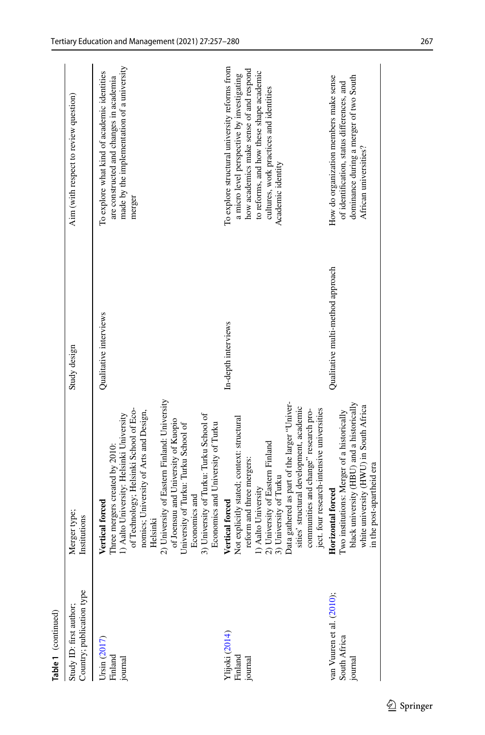| Table 1 (continued)                                  |                                                                                                                                                                                                                                                                                                                                                                                                                                      |                                   |                                                                                                                                                                                                                                                    |
|------------------------------------------------------|--------------------------------------------------------------------------------------------------------------------------------------------------------------------------------------------------------------------------------------------------------------------------------------------------------------------------------------------------------------------------------------------------------------------------------------|-----------------------------------|----------------------------------------------------------------------------------------------------------------------------------------------------------------------------------------------------------------------------------------------------|
| Country; publication type<br>Study ID: first author; | Merger type;<br>Institutions                                                                                                                                                                                                                                                                                                                                                                                                         | Study design                      | Aim (with respect to review question)                                                                                                                                                                                                              |
| Ursin (2017)<br>Finland<br>journal                   | 2) University of Eastern Finland: University<br>of Technology; Helsinki School of Eco-<br>nomics; University of Arts and Design,<br>3) University of Turku: Turku School of<br>1) Aalto University: Helsinki University<br>of Joensuu and University of Kuopio<br>Economics and University of Turku<br>University of Turku: Turku School of<br>Three mergers created by 2010:<br>Economics and<br><b>Vertical forced</b><br>Helsinki | Qualitative interviews            | made by the implementation of a university<br>To explore what kind of academic identities<br>are constructed and changes in academia<br>merger                                                                                                     |
| Ylijoki (2014)<br>Finland<br>journal                 | Data gathered as part of the larger "Univer-<br>sities' structural development, academic<br>ject. four research-intensive universities<br>communities and change" research pro-<br>Not explicitly stated; context: structural<br>2) University of Eastern Finland<br>reform and three mergers:<br>3) University of Turku<br>1) Aalto University<br>Vertical forced                                                                   | In-depth interviews               | To explore structural university reforms from<br>how academics make sense of and respond<br>to reforms, and how these shape academic<br>a micro level perspective by investigating<br>cultures, work practices and identities<br>Academic identity |
| van Vuuren et al. (2010);<br>South Africa<br>journal | black university (HBU) and a historically<br>white university (HWU) in South Africa<br>Two institutions: Merger of a historically<br>in the post-apartheid era<br>Horizontal forced                                                                                                                                                                                                                                                  | Qualitative multi-method approach | How do organization members make sense<br>dominance during a merger of two South<br>of identification, status differences, and<br>African universities?                                                                                            |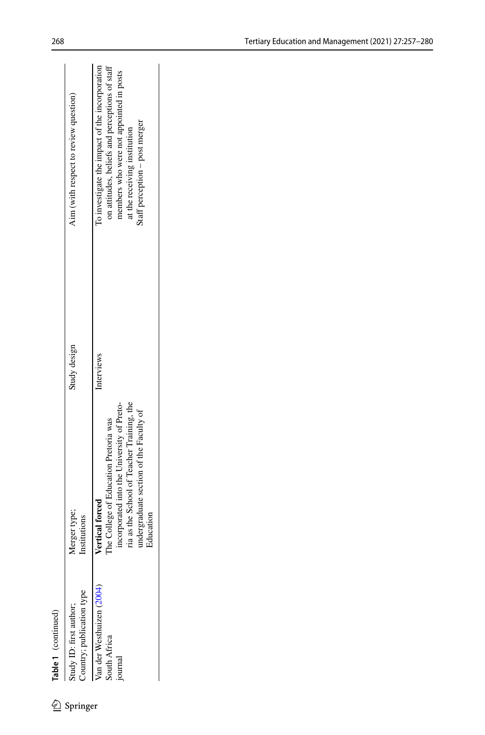| Springer | Merger type;<br>Institutions                                                                                                                                                                                 | Study design | Aim (with respect to review question)                                                                                                                                                                         |
|----------|--------------------------------------------------------------------------------------------------------------------------------------------------------------------------------------------------------------|--------------|---------------------------------------------------------------------------------------------------------------------------------------------------------------------------------------------------------------|
|          | ria as the School of Teacher Training, the<br>incorporated into the University of Preto-<br>indergraduate section of the Faculty of<br>The College of Education Pretoria was<br>Vertical forced<br>Education | Interviews   | To investigate the impact of the incorporation<br>on attitudes, beliefs and perceptions of staff<br>members who were not appointed in posts<br>staff perception - post merger<br>at the receiving institution |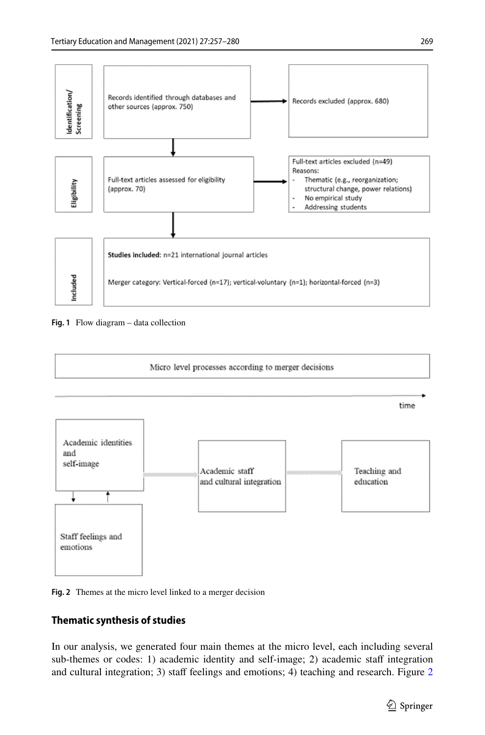

<span id="page-12-0"></span>



<span id="page-12-1"></span>

# **Thematic synthesis of studies**

In our analysis, we generated four main themes at the micro level, each including several sub-themes or codes: 1) academic identity and self-image; 2) academic staff integration and cultural integration; 3) staff feelings and emotions; 4) teaching and research. Figure [2](#page-12-1)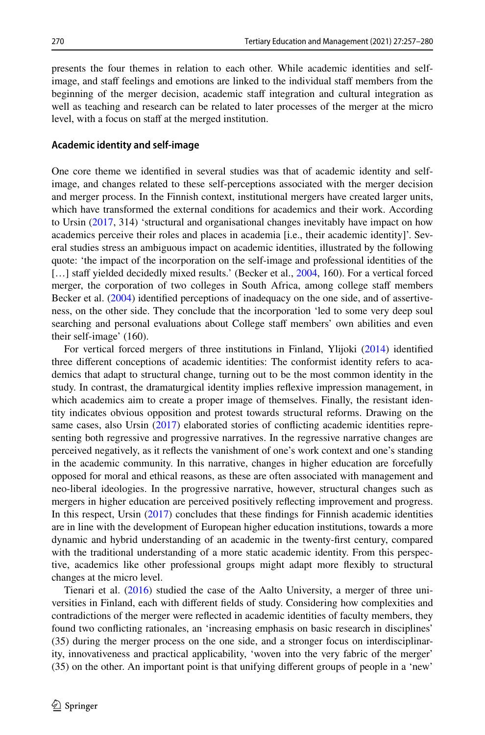presents the four themes in relation to each other. While academic identities and selfimage, and staff feelings and emotions are linked to the individual staff members from the beginning of the merger decision, academic staff integration and cultural integration as well as teaching and research can be related to later processes of the merger at the micro level, with a focus on staff at the merged institution.

### **Academic identity and self‑image**

One core theme we identifed in several studies was that of academic identity and selfimage, and changes related to these self-perceptions associated with the merger decision and merger process. In the Finnish context, institutional mergers have created larger units, which have transformed the external conditions for academics and their work. According to Ursin ([2017,](#page-22-22) 314) 'structural and organisational changes inevitably have impact on how academics perceive their roles and places in academia [i.e., their academic identity]'. Several studies stress an ambiguous impact on academic identities, illustrated by the following quote: 'the impact of the incorporation on the self-image and professional identities of the [...] staff yielded decidedly mixed results.' (Becker et al., [2004,](#page-21-14) 160). For a vertical forced merger, the corporation of two colleges in South Africa, among college staff members Becker et al. [\(2004](#page-21-14)) identifed perceptions of inadequacy on the one side, and of assertiveness, on the other side. They conclude that the incorporation 'led to some very deep soul searching and personal evaluations about College staff members' own abilities and even their self-image' (160).

For vertical forced mergers of three institutions in Finland, Ylijoki ([2014\)](#page-23-0) identifed three diferent conceptions of academic identities: The conformist identity refers to academics that adapt to structural change, turning out to be the most common identity in the study. In contrast, the dramaturgical identity implies refexive impression management, in which academics aim to create a proper image of themselves. Finally, the resistant identity indicates obvious opposition and protest towards structural reforms. Drawing on the same cases, also Ursin [\(2017](#page-22-22)) elaborated stories of conficting academic identities representing both regressive and progressive narratives. In the regressive narrative changes are perceived negatively, as it refects the vanishment of one's work context and one's standing in the academic community. In this narrative, changes in higher education are forcefully opposed for moral and ethical reasons, as these are often associated with management and neo-liberal ideologies. In the progressive narrative, however, structural changes such as mergers in higher education are perceived positively refecting improvement and progress. In this respect, Ursin ([2017\)](#page-22-22) concludes that these fndings for Finnish academic identities are in line with the development of European higher education institutions, towards a more dynamic and hybrid understanding of an academic in the twenty-frst century, compared with the traditional understanding of a more static academic identity. From this perspective, academics like other professional groups might adapt more fexibly to structural changes at the micro level.

Tienari et al. ([2016\)](#page-22-20) studied the case of the Aalto University, a merger of three universities in Finland, each with diferent felds of study. Considering how complexities and contradictions of the merger were refected in academic identities of faculty members, they found two conficting rationales, an 'increasing emphasis on basic research in disciplines' (35) during the merger process on the one side, and a stronger focus on interdisciplinarity, innovativeness and practical applicability, 'woven into the very fabric of the merger' (35) on the other. An important point is that unifying diferent groups of people in a 'new'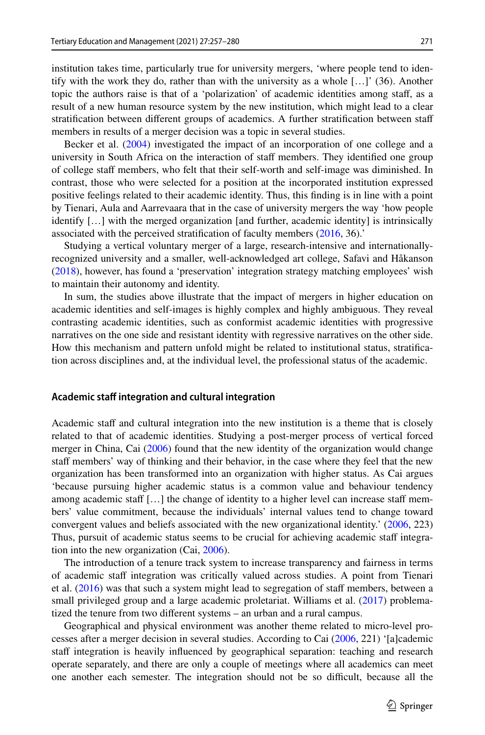institution takes time, particularly true for university mergers, 'where people tend to identify with the work they do, rather than with the university as a whole […]' (36). Another topic the authors raise is that of a 'polarization' of academic identities among staf, as a result of a new human resource system by the new institution, which might lead to a clear stratifcation between diferent groups of academics. A further stratifcation between staf members in results of a merger decision was a topic in several studies.

Becker et al. [\(2004](#page-21-14)) investigated the impact of an incorporation of one college and a university in South Africa on the interaction of staf members. They identifed one group of college staf members, who felt that their self-worth and self-image was diminished. In contrast, those who were selected for a position at the incorporated institution expressed positive feelings related to their academic identity. Thus, this fnding is in line with a point by Tienari, Aula and Aarrevaara that in the case of university mergers the way 'how people identify […] with the merged organization [and further, academic identity] is intrinsically associated with the perceived stratifcation of faculty members ([2016,](#page-22-20) 36).'

Studying a vertical voluntary merger of a large, research-intensive and internationallyrecognized university and a smaller, well-acknowledged art college, Safavi and Håkanson ([2018\)](#page-22-2), however, has found a 'preservation' integration strategy matching employees' wish to maintain their autonomy and identity.

In sum, the studies above illustrate that the impact of mergers in higher education on academic identities and self-images is highly complex and highly ambiguous. They reveal contrasting academic identities, such as conformist academic identities with progressive narratives on the one side and resistant identity with regressive narratives on the other side. How this mechanism and pattern unfold might be related to institutional status, stratifcation across disciplines and, at the individual level, the professional status of the academic.

#### **Academic staf integration and cultural integration**

Academic staff and cultural integration into the new institution is a theme that is closely related to that of academic identities. Studying a post-merger process of vertical forced merger in China, Cai [\(2006](#page-21-15)) found that the new identity of the organization would change staff members' way of thinking and their behavior, in the case where they feel that the new organization has been transformed into an organization with higher status. As Cai argues 'because pursuing higher academic status is a common value and behaviour tendency among academic staff  $[...]$  the change of identity to a higher level can increase staff members' value commitment, because the individuals' internal values tend to change toward convergent values and beliefs associated with the new organizational identity.' [\(2006](#page-21-15), 223) Thus, pursuit of academic status seems to be crucial for achieving academic staf integration into the new organization (Cai, [2006\)](#page-21-15).

The introduction of a tenure track system to increase transparency and fairness in terms of academic staff integration was critically valued across studies. A point from Tienari et al.  $(2016)$  $(2016)$  was that such a system might lead to segregation of staff members, between a small privileged group and a large academic proletariat. Williams et al. [\(2017](#page-22-25)) problematized the tenure from two diferent systems – an urban and a rural campus.

Geographical and physical environment was another theme related to micro-level processes after a merger decision in several studies. According to Cai ([2006,](#page-21-15) 221) '[a]cademic staff integration is heavily influenced by geographical separation: teaching and research operate separately, and there are only a couple of meetings where all academics can meet one another each semester. The integration should not be so difcult, because all the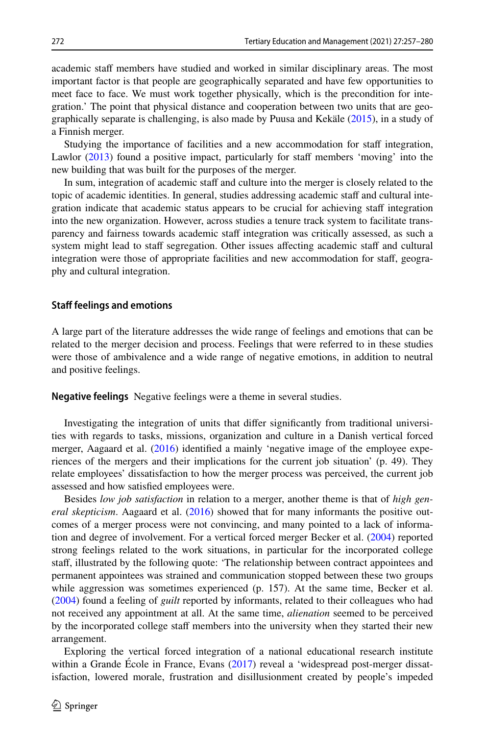academic staff members have studied and worked in similar disciplinary areas. The most important factor is that people are geographically separated and have few opportunities to meet face to face. We must work together physically, which is the precondition for integration.' The point that physical distance and cooperation between two units that are geographically separate is challenging, is also made by Puusa and Kekäle [\(2015](#page-22-16)), in a study of a Finnish merger.

Studying the importance of facilities and a new accommodation for staff integration, Lawlor  $(2013)$  $(2013)$  found a positive impact, particularly for staff members 'moving' into the new building that was built for the purposes of the merger.

In sum, integration of academic staff and culture into the merger is closely related to the topic of academic identities. In general, studies addressing academic staff and cultural integration indicate that academic status appears to be crucial for achieving staff integration into the new organization. However, across studies a tenure track system to facilitate transparency and fairness towards academic staff integration was critically assessed, as such a system might lead to staff segregation. Other issues affecting academic staff and cultural integration were those of appropriate facilities and new accommodation for staff, geography and cultural integration.

### **Staf feelings and emotions**

A large part of the literature addresses the wide range of feelings and emotions that can be related to the merger decision and process. Feelings that were referred to in these studies were those of ambivalence and a wide range of negative emotions, in addition to neutral and positive feelings.

**Negative feelings** Negative feelings were a theme in several studies.

Investigating the integration of units that difer signifcantly from traditional universities with regards to tasks, missions, organization and culture in a Danish vertical forced merger, Aagaard et al. ([2016\)](#page-21-10) identified a mainly 'negative image of the employee experiences of the mergers and their implications for the current job situation' (p. 49). They relate employees' dissatisfaction to how the merger process was perceived, the current job assessed and how satisfed employees were.

Besides *low job satisfaction* in relation to a merger, another theme is that of *high general skepticism*. Aagaard et al. [\(2016](#page-21-10)) showed that for many informants the positive outcomes of a merger process were not convincing, and many pointed to a lack of information and degree of involvement. For a vertical forced merger Becker et al. ([2004\)](#page-21-14) reported strong feelings related to the work situations, in particular for the incorporated college staff, illustrated by the following quote: 'The relationship between contract appointees and permanent appointees was strained and communication stopped between these two groups while aggression was sometimes experienced (p. 157). At the same time, Becker et al. ([2004\)](#page-21-14) found a feeling of *guilt* reported by informants, related to their colleagues who had not received any appointment at all. At the same time, *alienation* seemed to be perceived by the incorporated college staff members into the university when they started their new arrangement.

Exploring the vertical forced integration of a national educational research institute within a Grande Ecole in France, Evans [\(2017](#page-21-8)) reveal a 'widespread post-merger dissatisfaction, lowered morale, frustration and disillusionment created by people's impeded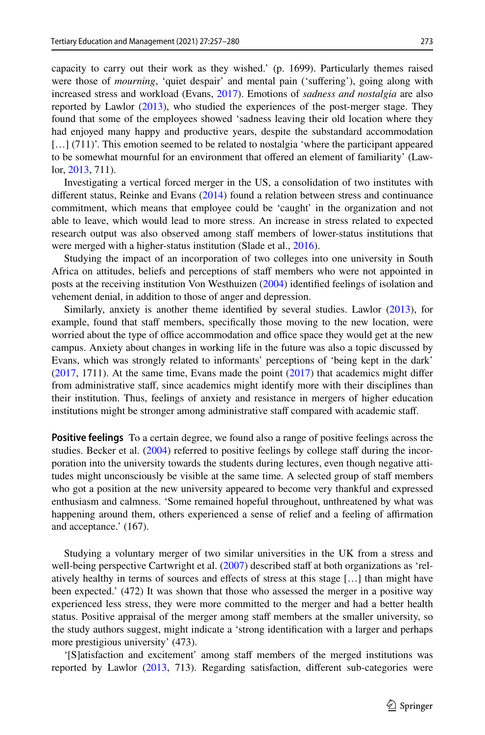capacity to carry out their work as they wished.' (p. 1699). Particularly themes raised were those of *mourning*, 'quiet despair' and mental pain ('sufering'), going along with increased stress and workload (Evans, [2017\)](#page-21-8). Emotions of *sadness and nostalgia* are also reported by Lawlor ([2013\)](#page-22-3), who studied the experiences of the post-merger stage. They found that some of the employees showed 'sadness leaving their old location where they had enjoyed many happy and productive years, despite the substandard accommodation […] (711)'. This emotion seemed to be related to nostalgia 'where the participant appeared to be somewhat mournful for an environment that ofered an element of familiarity' (Lawlor, [2013,](#page-22-3) 711).

Investigating a vertical forced merger in the US, a consolidation of two institutes with diferent status, Reinke and Evans ([2014\)](#page-22-17) found a relation between stress and continuance commitment, which means that employee could be 'caught' in the organization and not able to leave, which would lead to more stress. An increase in stress related to expected research output was also observed among staff members of lower-status institutions that were merged with a higher-status institution (Slade et al., [2016\)](#page-22-19).

Studying the impact of an incorporation of two colleges into one university in South Africa on attitudes, beliefs and perceptions of staff members who were not appointed in posts at the receiving institution Von Westhuizen [\(2004](#page-22-24)) identifed feelings of isolation and vehement denial, in addition to those of anger and depression.

Similarly, anxiety is another theme identifed by several studies. Lawlor [\(2013](#page-22-3)), for example, found that staff members, specifically those moving to the new location, were worried about the type of office accommodation and office space they would get at the new campus. Anxiety about changes in working life in the future was also a topic discussed by Evans, which was strongly related to informants' perceptions of 'being kept in the dark'  $(2017, 1711)$  $(2017, 1711)$  $(2017, 1711)$ . At the same time, Evans made the point  $(2017)$  $(2017)$  that academics might differ from administrative staf, since academics might identify more with their disciplines than their institution. Thus, feelings of anxiety and resistance in mergers of higher education institutions might be stronger among administrative staff compared with academic staff.

**Positive feelings** To a certain degree, we found also a range of positive feelings across the studies. Becker et al. ([2004\)](#page-21-14) referred to positive feelings by college staff during the incorporation into the university towards the students during lectures, even though negative attitudes might unconsciously be visible at the same time. A selected group of staff members who got a position at the new university appeared to become very thankful and expressed enthusiasm and calmness. 'Some remained hopeful throughout, unthreatened by what was happening around them, others experienced a sense of relief and a feeling of affirmation and acceptance.' (167).

Studying a voluntary merger of two similar universities in the UK from a stress and well-being perspective Cartwright et al. ([2007\)](#page-21-16) described staff at both organizations as 'relatively healthy in terms of sources and efects of stress at this stage […] than might have been expected.' (472) It was shown that those who assessed the merger in a positive way experienced less stress, they were more committed to the merger and had a better health status. Positive appraisal of the merger among staff members at the smaller university, so the study authors suggest, might indicate a 'strong identifcation with a larger and perhaps more prestigious university' (473).

'[S]atisfaction and excitement' among staff members of the merged institutions was reported by Lawlor [\(2013](#page-22-3), 713). Regarding satisfaction, diferent sub-categories were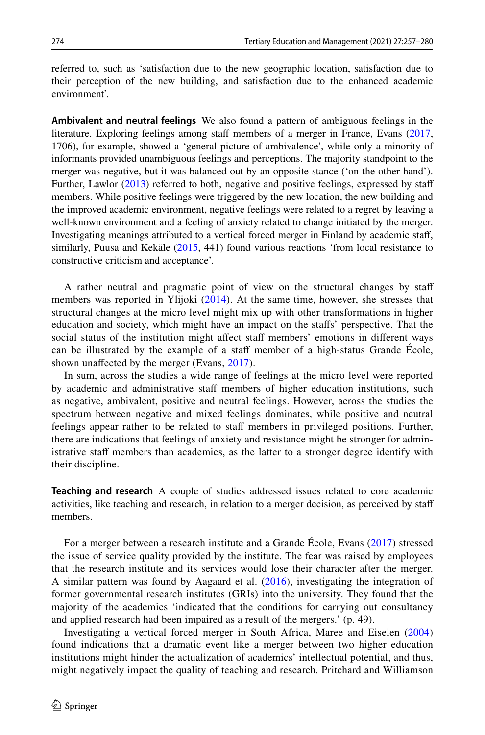referred to, such as 'satisfaction due to the new geographic location, satisfaction due to their perception of the new building, and satisfaction due to the enhanced academic environment'.

**Ambivalent and neutral feelings** We also found a pattern of ambiguous feelings in the literature. Exploring feelings among staff members of a merger in France, Evans [\(2017](#page-21-8), 1706), for example, showed a 'general picture of ambivalence', while only a minority of informants provided unambiguous feelings and perceptions. The majority standpoint to the merger was negative, but it was balanced out by an opposite stance ('on the other hand'). Further, Lawlor [\(2013](#page-22-3)) referred to both, negative and positive feelings, expressed by staff members. While positive feelings were triggered by the new location, the new building and the improved academic environment, negative feelings were related to a regret by leaving a well-known environment and a feeling of anxiety related to change initiated by the merger. Investigating meanings attributed to a vertical forced merger in Finland by academic staf, similarly, Puusa and Kekäle ([2015,](#page-22-16) 441) found various reactions 'from local resistance to constructive criticism and acceptance'.

A rather neutral and pragmatic point of view on the structural changes by staf members was reported in Ylijoki ([2014](#page-23-0)). At the same time, however, she stresses that structural changes at the micro level might mix up with other transformations in higher education and society, which might have an impact on the stafs' perspective. That the social status of the institution might affect staff members' emotions in different ways can be illustrated by the example of a staff member of a high-status Grande École, shown unaffected by the merger (Evans, [2017\)](#page-21-8).

In sum, across the studies a wide range of feelings at the micro level were reported by academic and administrative staff members of higher education institutions, such as negative, ambivalent, positive and neutral feelings. However, across the studies the spectrum between negative and mixed feelings dominates, while positive and neutral feelings appear rather to be related to staf members in privileged positions. Further, there are indications that feelings of anxiety and resistance might be stronger for administrative staff members than academics, as the latter to a stronger degree identify with their discipline.

**Teaching and research** A couple of studies addressed issues related to core academic activities, like teaching and research, in relation to a merger decision, as perceived by staf members.

For a merger between a research institute and a Grande École, Evans [\(2017\)](#page-21-8) stressed the issue of service quality provided by the institute. The fear was raised by employees that the research institute and its services would lose their character after the merger. A similar pattern was found by Aagaard et al. [\(2016\)](#page-21-10), investigating the integration of former governmental research institutes (GRIs) into the university. They found that the majority of the academics 'indicated that the conditions for carrying out consultancy and applied research had been impaired as a result of the mergers.' (p. 49).

Investigating a vertical forced merger in South Africa, Maree and Eiselen ([2004](#page-22-14)) found indications that a dramatic event like a merger between two higher education institutions might hinder the actualization of academics' intellectual potential, and thus, might negatively impact the quality of teaching and research. Pritchard and Williamson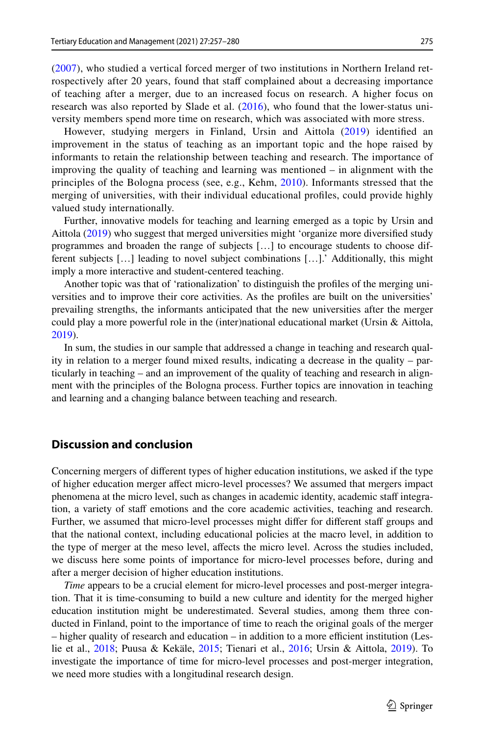([2007\)](#page-22-15), who studied a vertical forced merger of two institutions in Northern Ireland retrospectively after 20 years, found that staff complained about a decreasing importance of teaching after a merger, due to an increased focus on research. A higher focus on research was also reported by Slade et al. [\(2016\)](#page-22-19), who found that the lower-status university members spend more time on research, which was associated with more stress.

However, studying mergers in Finland, Ursin and Aittola [\(2019\)](#page-22-21) identifed an improvement in the status of teaching as an important topic and the hope raised by informants to retain the relationship between teaching and research. The importance of improving the quality of teaching and learning was mentioned – in alignment with the principles of the Bologna process (see, e.g., Kehm, [2010\)](#page-22-26). Informants stressed that the merging of universities, with their individual educational profles, could provide highly valued study internationally.

Further, innovative models for teaching and learning emerged as a topic by Ursin and Aittola ([2019\)](#page-22-21) who suggest that merged universities might 'organize more diversifed study programmes and broaden the range of subjects […] to encourage students to choose different subjects […] leading to novel subject combinations […].' Additionally, this might imply a more interactive and student-centered teaching.

Another topic was that of 'rationalization' to distinguish the profles of the merging universities and to improve their core activities. As the profles are built on the universities' prevailing strengths, the informants anticipated that the new universities after the merger could play a more powerful role in the (inter)national educational market (Ursin & Aittola, [2019\)](#page-22-21).

In sum, the studies in our sample that addressed a change in teaching and research quality in relation to a merger found mixed results, indicating a decrease in the quality – particularly in teaching – and an improvement of the quality of teaching and research in alignment with the principles of the Bologna process. Further topics are innovation in teaching and learning and a changing balance between teaching and research.

# **Discussion and conclusion**

Concerning mergers of diferent types of higher education institutions, we asked if the type of higher education merger afect micro-level processes? We assumed that mergers impact phenomena at the micro level, such as changes in academic identity, academic staf integration, a variety of staff emotions and the core academic activities, teaching and research. Further, we assumed that micro-level processes might differ for different staff groups and that the national context, including educational policies at the macro level, in addition to the type of merger at the meso level, afects the micro level. Across the studies included, we discuss here some points of importance for micro-level processes before, during and after a merger decision of higher education institutions.

*Time* appears to be a crucial element for micro-level processes and post-merger integration. That it is time-consuming to build a new culture and identity for the merged higher education institution might be underestimated. Several studies, among them three conducted in Finland, point to the importance of time to reach the original goals of the merger  $-$  higher quality of research and education  $-$  in addition to a more efficient institution (Leslie et al., [2018](#page-22-13); Puusa & Kekäle, [2015](#page-22-16); Tienari et al., [2016;](#page-22-20) Ursin & Aittola, [2019](#page-22-21)). To investigate the importance of time for micro-level processes and post-merger integration, we need more studies with a longitudinal research design.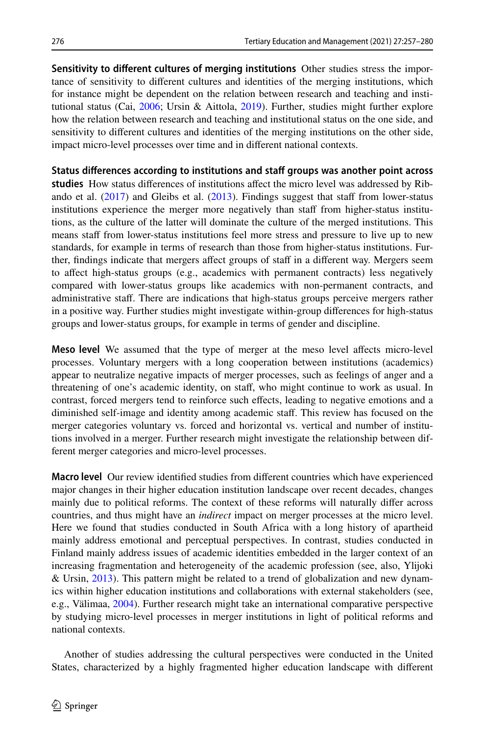**Sensitivity to diferent cultures of merging institutions** Other studies stress the importance of sensitivity to diferent cultures and identities of the merging institutions, which for instance might be dependent on the relation between research and teaching and institutional status (Cai, [2006](#page-21-15); Ursin & Aittola, [2019](#page-22-21)). Further, studies might further explore how the relation between research and teaching and institutional status on the one side, and sensitivity to diferent cultures and identities of the merging institutions on the other side, impact micro-level processes over time and in diferent national contexts.

**Status diferences according to institutions and staf groups was another point across**  studies How status differences of institutions affect the micro level was addressed by Ribando et al.  $(2017)$  $(2017)$  and Gleibs et al.  $(2013)$  $(2013)$ . Findings suggest that staff from lower-status institutions experience the merger more negatively than staf from higher-status institutions, as the culture of the latter will dominate the culture of the merged institutions. This means staff from lower-status institutions feel more stress and pressure to live up to new standards, for example in terms of research than those from higher-status institutions. Further, findings indicate that mergers affect groups of staff in a different way. Mergers seem to afect high-status groups (e.g., academics with permanent contracts) less negatively compared with lower-status groups like academics with non-permanent contracts, and administrative staf. There are indications that high-status groups perceive mergers rather in a positive way. Further studies might investigate within-group diferences for high-status groups and lower-status groups, for example in terms of gender and discipline.

**Meso level** We assumed that the type of merger at the meso level afects micro-level processes. Voluntary mergers with a long cooperation between institutions (academics) appear to neutralize negative impacts of merger processes, such as feelings of anger and a threatening of one's academic identity, on staf, who might continue to work as usual. In contrast, forced mergers tend to reinforce such efects, leading to negative emotions and a diminished self-image and identity among academic staf. This review has focused on the merger categories voluntary vs. forced and horizontal vs. vertical and number of institutions involved in a merger. Further research might investigate the relationship between different merger categories and micro-level processes.

**Macro level** Our review identifed studies from diferent countries which have experienced major changes in their higher education institution landscape over recent decades, changes mainly due to political reforms. The context of these reforms will naturally difer across countries, and thus might have an *indirect* impact on merger processes at the micro level. Here we found that studies conducted in South Africa with a long history of apartheid mainly address emotional and perceptual perspectives. In contrast, studies conducted in Finland mainly address issues of academic identities embedded in the larger context of an increasing fragmentation and heterogeneity of the academic profession (see, also, Ylijoki & Ursin, [2013](#page-23-2)). This pattern might be related to a trend of globalization and new dynamics within higher education institutions and collaborations with external stakeholders (see, e.g., Välimaa, [2004](#page-22-27)). Further research might take an international comparative perspective by studying micro-level processes in merger institutions in light of political reforms and national contexts.

Another of studies addressing the cultural perspectives were conducted in the United States, characterized by a highly fragmented higher education landscape with diferent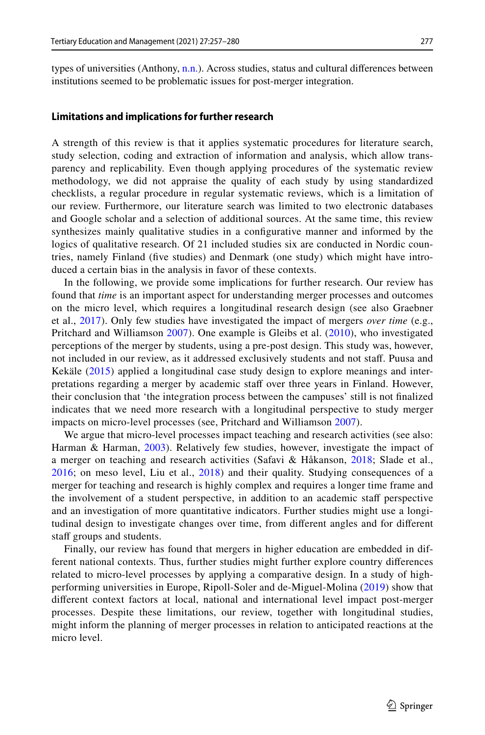types of universities (Anthony,  $n.n.$ ). Across studies, status and cultural differences between institutions seemed to be problematic issues for post-merger integration.

#### **Limitations and implications for further research**

A strength of this review is that it applies systematic procedures for literature search, study selection, coding and extraction of information and analysis, which allow transparency and replicability. Even though applying procedures of the systematic review methodology, we did not appraise the quality of each study by using standardized checklists, a regular procedure in regular systematic reviews, which is a limitation of our review. Furthermore, our literature search was limited to two electronic databases and Google scholar and a selection of additional sources. At the same time, this review synthesizes mainly qualitative studies in a confgurative manner and informed by the logics of qualitative research. Of 21 included studies six are conducted in Nordic countries, namely Finland (fve studies) and Denmark (one study) which might have introduced a certain bias in the analysis in favor of these contexts.

In the following, we provide some implications for further research. Our review has found that *time* is an important aspect for understanding merger processes and outcomes on the micro level, which requires a longitudinal research design (see also Graebner et al., [2017\)](#page-21-19). Only few studies have investigated the impact of mergers *over time* (e.g., Pritchard and Williamson [2007\)](#page-22-15). One example is Gleibs et al. ([2010\)](#page-21-20), who investigated perceptions of the merger by students, using a pre-post design. This study was, however, not included in our review, as it addressed exclusively students and not staf. Puusa and Kekäle ([2015](#page-22-16)) applied a longitudinal case study design to explore meanings and interpretations regarding a merger by academic staf over three years in Finland. However, their conclusion that 'the integration process between the campuses' still is not fnalized indicates that we need more research with a longitudinal perspective to study merger impacts on micro-level processes (see, Pritchard and Williamson [2007\)](#page-22-15).

We argue that micro-level processes impact teaching and research activities (see also: Harman & Harman, [2003](#page-21-0)). Relatively few studies, however, investigate the impact of a merger on teaching and research activities (Safavi & Håkanson, [2018;](#page-22-2) Slade et al., [2016](#page-22-19); on meso level, Liu et al., [2018\)](#page-22-0) and their quality. Studying consequences of a merger for teaching and research is highly complex and requires a longer time frame and the involvement of a student perspective, in addition to an academic staff perspective and an investigation of more quantitative indicators. Further studies might use a longitudinal design to investigate changes over time, from diferent angles and for diferent staff groups and students.

Finally, our review has found that mergers in higher education are embedded in different national contexts. Thus, further studies might further explore country diferences related to micro-level processes by applying a comparative design. In a study of highperforming universities in Europe, Ripoll-Soler and de-Miguel-Molina ([2019](#page-22-4)) show that diferent context factors at local, national and international level impact post-merger processes. Despite these limitations, our review, together with longitudinal studies, might inform the planning of merger processes in relation to anticipated reactions at the micro level.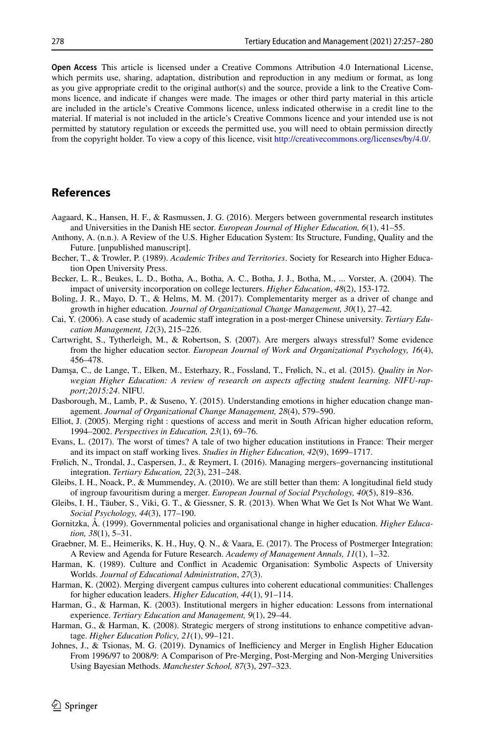**Open Access** This article is licensed under a Creative Commons Attribution 4.0 International License, which permits use, sharing, adaptation, distribution and reproduction in any medium or format, as long as you give appropriate credit to the original author(s) and the source, provide a link to the Creative Commons licence, and indicate if changes were made. The images or other third party material in this article are included in the article's Creative Commons licence, unless indicated otherwise in a credit line to the material. If material is not included in the article's Creative Commons licence and your intended use is not permitted by statutory regulation or exceeds the permitted use, you will need to obtain permission directly from the copyright holder. To view a copy of this licence, visit [http://creativecommons.org/licenses/by/4.0/.](http://creativecommons.org/licenses/by/4.0/)

# **References**

- <span id="page-21-10"></span>Aagaard, K., Hansen, H. F., & Rasmussen, J. G. (2016). Mergers between governmental research institutes and Universities in the Danish HE sector. *European Journal of Higher Education, 6*(1), 41–55.
- <span id="page-21-18"></span>Anthony, A. (n.n.). A Review of the U.S. Higher Education System: Its Structure, Funding, Quality and the Future. [unpublished manuscript].
- <span id="page-21-4"></span>Becher, T., & Trowler, P. (1989). *Academic Tribes and Territories*. Society for Research into Higher Education Open University Press.
- <span id="page-21-14"></span>Becker, L. R., Beukes, L. D., Botha, A., Botha, A. C., Botha, J. J., Botha, M., ... Vorster, A. (2004). The impact of university incorporation on college lecturers. *Higher Education*, *48*(2), 153-172.
- <span id="page-21-7"></span>Boling, J. R., Mayo, D. T., & Helms, M. M. (2017). Complementarity merger as a driver of change and growth in higher education. *Journal of Organizational Change Management, 30*(1), 27–42.
- <span id="page-21-15"></span>Cai, Y. (2006). A case study of academic staf integration in a post-merger Chinese university. *Tertiary Education Management, 12*(3), 215–226.
- <span id="page-21-16"></span>Cartwright, S., Tytherleigh, M., & Robertson, S. (2007). Are mergers always stressful? Some evidence from the higher education sector. *European Journal of Work and Organizational Psychology, 16*(4), 456–478.
- <span id="page-21-2"></span>Damşa, C., de Lange, T., Elken, M., Esterhazy, R., Fossland, T., Frølich, N., et al. (2015). *Quality in Norwegian Higher Education: A review of research on aspects afecting student learning. NIFU-rapport;2015:24*. NIFU.
- <span id="page-21-9"></span>Dasborough, M., Lamb, P., & Suseno, Y. (2015). Understanding emotions in higher education change management. *Journal of Organizational Change Management, 28*(4), 579–590.
- <span id="page-21-13"></span>Elliot, J. (2005). Merging right : questions of access and merit in South African higher education reform, 1994–2002. *Perspectives in Education, 23*(1), 69–76.
- <span id="page-21-8"></span>Evans, L. (2017). The worst of times? A tale of two higher education institutions in France: Their merger and its impact on staff working lives. *Studies in Higher Education*, 42(9), 1699–1717.
- <span id="page-21-1"></span>Frølich, N., Trondal, J., Caspersen, J., & Reymert, I. (2016). Managing mergers–governancing institutional integration. *Tertiary Education, 22*(3), 231–248.
- <span id="page-21-20"></span>Gleibs, I. H., Noack, P., & Mummendey, A. (2010). We are still better than them: A longitudinal feld study of ingroup favouritism during a merger. *European Journal of Social Psychology, 40*(5), 819–836.
- <span id="page-21-17"></span>Gleibs, I. H., Täuber, S., Viki, G. T., & Giessner, S. R. (2013). When What We Get Is Not What We Want. *Social Psychology, 44*(3), 177–190.
- <span id="page-21-12"></span>Gornitzka, Å. (1999). Governmental policies and organisational change in higher education. *Higher Education, 38*(1), 5–31.
- <span id="page-21-19"></span>Graebner, M. E., Heimeriks, K. H., Huy, Q. N., & Vaara, E. (2017). The Process of Postmerger Integration: A Review and Agenda for Future Research. *Academy of Management Annals, 11*(1), 1–32.
- <span id="page-21-5"></span>Harman, K. (1989). Culture and Confict in Academic Organisation: Symbolic Aspects of University Worlds. *Journal of Educational Administration*, *27*(3).
- <span id="page-21-6"></span>Harman, K. (2002). Merging divergent campus cultures into coherent educational communities: Challenges for higher education leaders. *Higher Education, 44*(1), 91–114.
- <span id="page-21-0"></span>Harman, G., & Harman, K. (2003). Institutional mergers in higher education: Lessons from international experience. *Tertiary Education and Management, 9*(1), 29–44.
- <span id="page-21-11"></span>Harman, G., & Harman, K. (2008). Strategic mergers of strong institutions to enhance competitive advantage. *Higher Education Policy, 21*(1), 99–121.
- <span id="page-21-3"></span>Johnes, J., & Tsionas, M. G. (2019). Dynamics of Inefficiency and Merger in English Higher Education From 1996/97 to 2008/9: A Comparison of Pre-Merging, Post-Merging and Non-Merging Universities Using Bayesian Methods. *Manchester School, 87*(3), 297–323.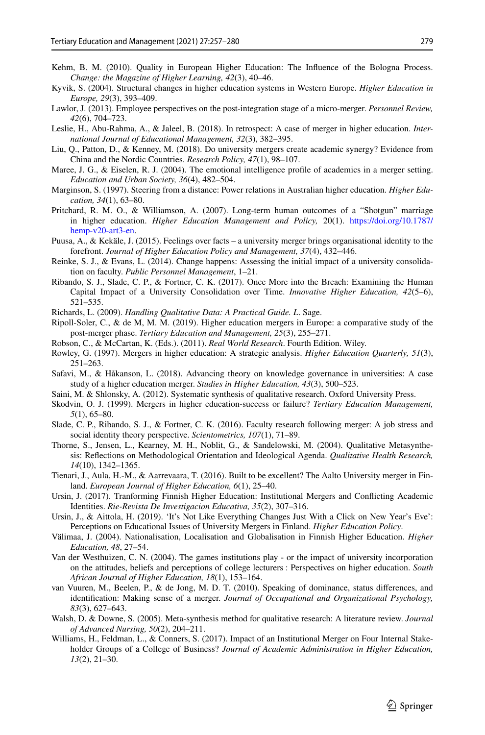- <span id="page-22-26"></span>Kehm, B. M. (2010). Quality in European Higher Education: The Infuence of the Bologna Process. *Change: the Magazine of Higher Learning, 42*(3), 40–46.
- <span id="page-22-8"></span>Kyvik, S. (2004). Structural changes in higher education systems in Western Europe. *Higher Education in Europe, 29*(3), 393–409.
- <span id="page-22-3"></span>Lawlor, J. (2013). Employee perspectives on the post-integration stage of a micro-merger. *Personnel Review, 42*(6), 704–723.
- <span id="page-22-13"></span>Leslie, H., Abu-Rahma, A., & Jaleel, B. (2018). In retrospect: A case of merger in higher education. *International Journal of Educational Management, 32*(3), 382–395.
- <span id="page-22-0"></span>Liu, Q., Patton, D., & Kenney, M. (2018). Do university mergers create academic synergy? Evidence from China and the Nordic Countries. *Research Policy, 47*(1), 98–107.
- <span id="page-22-14"></span>Maree, J. G., & Eiselen, R. J. (2004). The emotional intelligence profle of academics in a merger setting. *Education and Urban Society, 36*(4), 482–504.
- <span id="page-22-9"></span>Marginson, S. (1997). Steering from a distance: Power relations in Australian higher education. *Higher Education, 34*(1), 63–80.
- <span id="page-22-15"></span>Pritchard, R. M. O., & Williamson, A. (2007). Long-term human outcomes of a "Shotgun" marriage in higher education. *Higher Education Management and Policy,* 20(1). [https://doi.org/10.1787/](https://doi.org/10.1787/hemp-v20-art3-en) [hemp-v20-art3-en.](https://doi.org/10.1787/hemp-v20-art3-en)
- <span id="page-22-16"></span>Puusa, A., & Kekäle, J. (2015). Feelings over facts – a university merger brings organisational identity to the forefront. *Journal of Higher Education Policy and Management, 37*(4), 432–446.
- <span id="page-22-17"></span>Reinke, S. J., & Evans, L. (2014). Change happens: Assessing the initial impact of a university consolidation on faculty. *Public Personnel Management*, 1–21.
- <span id="page-22-18"></span>Ribando, S. J., Slade, C. P., & Fortner, C. K. (2017). Once More into the Breach: Examining the Human Capital Impact of a University Consolidation over Time. *Innovative Higher Education, 42*(5–6), 521–535.

<span id="page-22-12"></span>Richards, L. (2009). *Handling Qualitative Data: A Practical Guide. L*. Sage.

- <span id="page-22-4"></span>Ripoll-Soler, C., & de M, M. M. (2019). Higher education mergers in Europe: a comparative study of the post-merger phase. *Tertiary Education and Management, 25*(3), 255–271.
- <span id="page-22-11"></span>Robson, C., & McCartan, K. (Eds.). (2011). *Real World Research*. Fourth Edition. Wiley.
- <span id="page-22-10"></span>Rowley, G. (1997). Mergers in higher education: A strategic analysis. *Higher Education Quarterly, 51*(3), 251–263.
- <span id="page-22-2"></span>Safavi, M., & Håkanson, L. (2018). Advancing theory on knowledge governance in universities: A case study of a higher education merger. *Studies in Higher Education, 43*(3), 500–523.
- <span id="page-22-6"></span>Saini, M. & Shlonsky, A. (2012). Systematic synthesis of qualitative research. Oxford University Press.
- <span id="page-22-1"></span>Skodvin, O. J. (1999). Mergers in higher education-success or failure? *Tertiary Education Management, 5*(1), 65–80.
- <span id="page-22-19"></span>Slade, C. P., Ribando, S. J., & Fortner, C. K. (2016). Faculty research following merger: A job stress and social identity theory perspective. *Scientometrics, 107*(1), 71–89.
- <span id="page-22-7"></span>Thorne, S., Jensen, L., Kearney, M. H., Noblit, G., & Sandelowski, M. (2004). Qualitative Metasynthesis: Refections on Methodological Orientation and Ideological Agenda. *Qualitative Health Research, 14*(10), 1342–1365.
- <span id="page-22-20"></span>Tienari, J., Aula, H.-M., & Aarrevaara, T. (2016). Built to be excellent? The Aalto University merger in Finland. *European Journal of Higher Education, 6*(1), 25–40.
- <span id="page-22-22"></span>Ursin, J. (2017). Tranforming Finnish Higher Education: Institutional Mergers and Conficting Academic Identities. *Rie-Revista De Investigacion Educativa, 35*(2), 307–316.
- <span id="page-22-21"></span>Ursin, J., & Aittola, H. (2019). 'It's Not Like Everything Changes Just With a Click on New Year's Eve': Perceptions on Educational Issues of University Mergers in Finland. *Higher Education Policy*.
- <span id="page-22-27"></span>Välimaa, J. (2004). Nationalisation, Localisation and Globalisation in Finnish Higher Education. *Higher Education, 48*, 27–54.
- <span id="page-22-24"></span>Van der Westhuizen, C. N. (2004). The games institutions play - or the impact of university incorporation on the attitudes, beliefs and perceptions of college lecturers : Perspectives on higher education. *South African Journal of Higher Education, 18*(1), 153–164.
- <span id="page-22-23"></span>van Vuuren, M., Beelen, P., & de Jong, M. D. T. (2010). Speaking of dominance, status diferences, and identifcation: Making sense of a merger. *Journal of Occupational and Organizational Psychology, 83*(3), 627–643.
- <span id="page-22-5"></span>Walsh, D. & Downe, S. (2005). Meta-synthesis method for qualitative research: A literature review. *Journal of Advanced Nursing, 50*(2), 204–211.
- <span id="page-22-25"></span>Williams, H., Feldman, L., & Conners, S. (2017). Impact of an Institutional Merger on Four Internal Stakeholder Groups of a College of Business? *Journal of Academic Administration in Higher Education, 13*(2), 21–30.